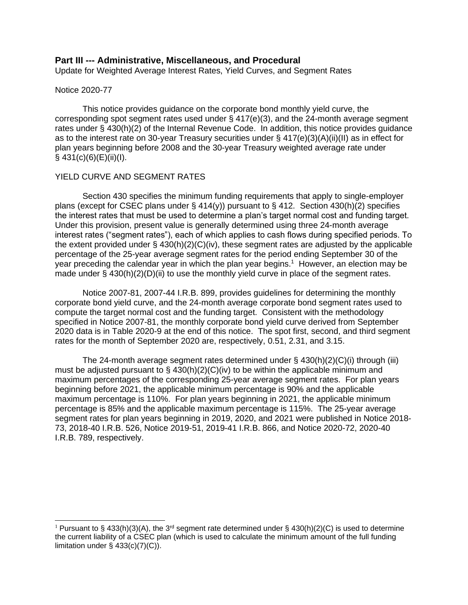## **Part III --- Administrative, Miscellaneous, and Procedural**

Update for Weighted Average Interest Rates, Yield Curves, and Segment Rates

#### Notice 2020-77

This notice provides guidance on the corporate bond monthly yield curve, the corresponding spot segment rates used under  $\S$  417(e)(3), and the 24-month average segment rates under § 430(h)(2) of the Internal Revenue Code. In addition, this notice provides guidance as to the interest rate on 30-year Treasury securities under § 417(e)(3)(A)(ii)(II) as in effect for plan years beginning before 2008 and the 30-year Treasury weighted average rate under  $§$  431(c)(6)(E)(ii)(l).

## YIELD CURVE AND SEGMENT RATES

Section 430 specifies the minimum funding requirements that apply to single-employer plans (except for CSEC plans under § 414(y)) pursuant to § 412. Section 430(h)(2) specifies the interest rates that must be used to determine a plan's target normal cost and funding target. Under this provision, present value is generally determined using three 24-month average interest rates ("segment rates"), each of which applies to cash flows during specified periods. To the extent provided under  $\S$  430(h)(2)(C)(iv), these segment rates are adjusted by the applicable percentage of the 25-year average segment rates for the period ending September 30 of the year preceding the calendar year in which the plan year begins.<sup>1</sup> However, an election may be made under  $\S$  430(h)(2)(D)(ii) to use the monthly yield curve in place of the segment rates.

Notice 2007-81, 2007-44 I.R.B. 899, provides guidelines for determining the monthly corporate bond yield curve, and the 24-month average corporate bond segment rates used to compute the target normal cost and the funding target. Consistent with the methodology specified in Notice 2007-81, the monthly corporate bond yield curve derived from September 2020 data is in Table 2020-9 at the end of this notice. The spot first, second, and third segment rates for the month of September 2020 are, respectively, 0.51, 2.31, and 3.15.

The 24-month average segment rates determined under  $\S$  430(h)(2)(C)(i) through (iii) must be adjusted pursuant to §  $430(h)(2)(C)(iv)$  to be within the applicable minimum and maximum percentages of the corresponding 25-year average segment rates. For plan years beginning before 2021, the applicable minimum percentage is 90% and the applicable maximum percentage is 110%. For plan years beginning in 2021, the applicable minimum percentage is 85% and the applicable maximum percentage is 115%. The 25-year average segment rates for plan years beginning in 2019, 2020, and 2021 were published in Notice 2018- 73, 2018-40 I.R.B. 526, Notice 2019-51, 2019-41 I.R.B. 866, and Notice 2020-72, 2020-40 I.R.B. 789, respectively.

<sup>&</sup>lt;sup>1</sup> Pursuant to § 433(h)(3)(A), the 3<sup>rd</sup> segment rate determined under § 430(h)(2)(C) is used to determine the current liability of a CSEC plan (which is used to calculate the minimum amount of the full funding limitation under  $\S$  433(c)(7)(C)).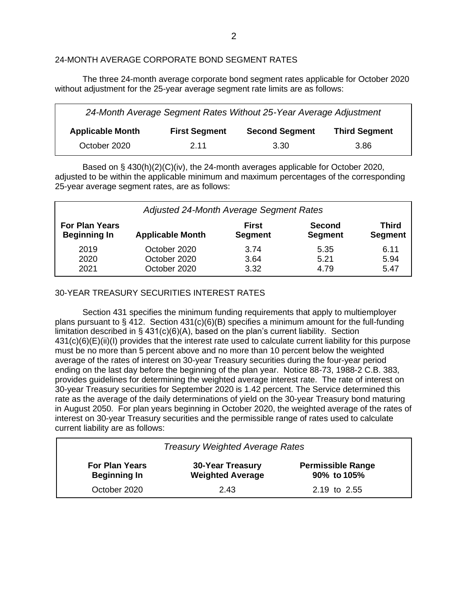# 24-MONTH AVERAGE CORPORATE BOND SEGMENT RATES

The three 24-month average corporate bond segment rates applicable for October 2020 without adjustment for the 25-year average segment rate limits are as follows:

| 24-Month Average Segment Rates Without 25-Year Average Adjustment |                      |                       |                      |  |  |  |  |  |
|-------------------------------------------------------------------|----------------------|-----------------------|----------------------|--|--|--|--|--|
| <b>Applicable Month</b>                                           | <b>First Segment</b> | <b>Second Segment</b> | <b>Third Segment</b> |  |  |  |  |  |
| October 2020                                                      | 2.11                 | 3.30                  | 3.86                 |  |  |  |  |  |

Based on § 430(h)(2)(C)(iv), the 24-month averages applicable for October 2020, adjusted to be within the applicable minimum and maximum percentages of the corresponding 25-year average segment rates, are as follows:

| Adjusted 24-Month Average Segment Rates      |                         |                                |                                 |                                |  |  |  |  |
|----------------------------------------------|-------------------------|--------------------------------|---------------------------------|--------------------------------|--|--|--|--|
| <b>For Plan Years</b><br><b>Beginning In</b> | <b>Applicable Month</b> | <b>First</b><br><b>Segment</b> | <b>Second</b><br><b>Segment</b> | <b>Third</b><br><b>Segment</b> |  |  |  |  |
| 2019                                         | October 2020            | 3.74                           | 5.35                            | 6.11                           |  |  |  |  |
| 2020                                         | October 2020            | 3.64                           | 5.21                            | 5.94                           |  |  |  |  |
| 2021                                         | October 2020            | 3.32                           | 4.79                            | 5.47                           |  |  |  |  |

# 30-YEAR TREASURY SECURITIES INTEREST RATES

Section 431 specifies the minimum funding requirements that apply to multiemployer plans pursuant to § 412. Section  $431(c)(6)(B)$  specifies a minimum amount for the full-funding limitation described in  $\S$  431(c)(6)(A), based on the plan's current liability. Section 431(c)(6)(E)(ii)(I) provides that the interest rate used to calculate current liability for this purpose must be no more than 5 percent above and no more than 10 percent below the weighted average of the rates of interest on 30-year Treasury securities during the four-year period ending on the last day before the beginning of the plan year. Notice 88-73, 1988-2 C.B. 383, provides guidelines for determining the weighted average interest rate. The rate of interest on 30-year Treasury securities for September 2020 is 1.42 percent. The Service determined this rate as the average of the daily determinations of yield on the 30-year Treasury bond maturing in August 2050. For plan years beginning in October 2020, the weighted average of the rates of interest on 30-year Treasury securities and the permissible range of rates used to calculate current liability are as follows:

| <b>Treasury Weighted Average Rates</b>       |                                                    |              |  |  |  |  |  |  |
|----------------------------------------------|----------------------------------------------------|--------------|--|--|--|--|--|--|
| <b>For Plan Years</b><br><b>Beginning In</b> | <b>30-Year Treasury</b><br><b>Weighted Average</b> |              |  |  |  |  |  |  |
| October 2020                                 | 2.43                                               | 2.19 to 2.55 |  |  |  |  |  |  |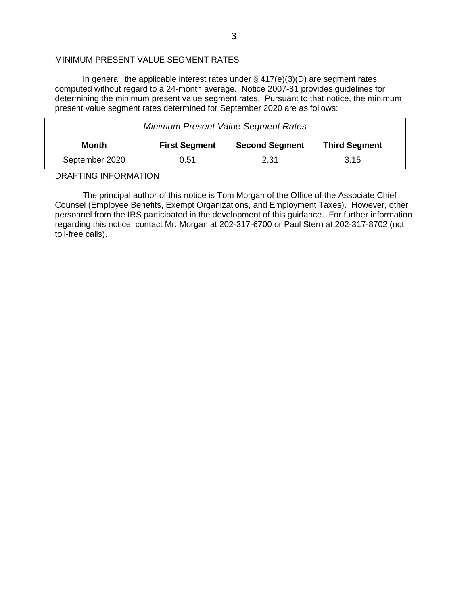### MINIMUM PRESENT VALUE SEGMENT RATES

In general, the applicable interest rates under § 417(e)(3)(D) are segment rates computed without regard to a 24-month average. Notice 2007-81 provides guidelines for determining the minimum present value segment rates. Pursuant to that notice, the minimum present value segment rates determined for September 2020 are as follows:

| <b>Minimum Present Value Segment Rates</b> |                      |                       |                      |  |  |  |  |  |
|--------------------------------------------|----------------------|-----------------------|----------------------|--|--|--|--|--|
| Month                                      | <b>First Segment</b> | <b>Second Segment</b> | <b>Third Segment</b> |  |  |  |  |  |
| September 2020                             | 0.51                 | 2.31                  | 3.15                 |  |  |  |  |  |

DRAFTING INFORMATION

The principal author of this notice is Tom Morgan of the Office of the Associate Chief Counsel (Employee Benefits, Exempt Organizations, and Employment Taxes). However, other personnel from the IRS participated in the development of this guidance. For further information regarding this notice, contact Mr. Morgan at 202-317-6700 or Paul Stern at 202-317-8702 (not toll-free calls).